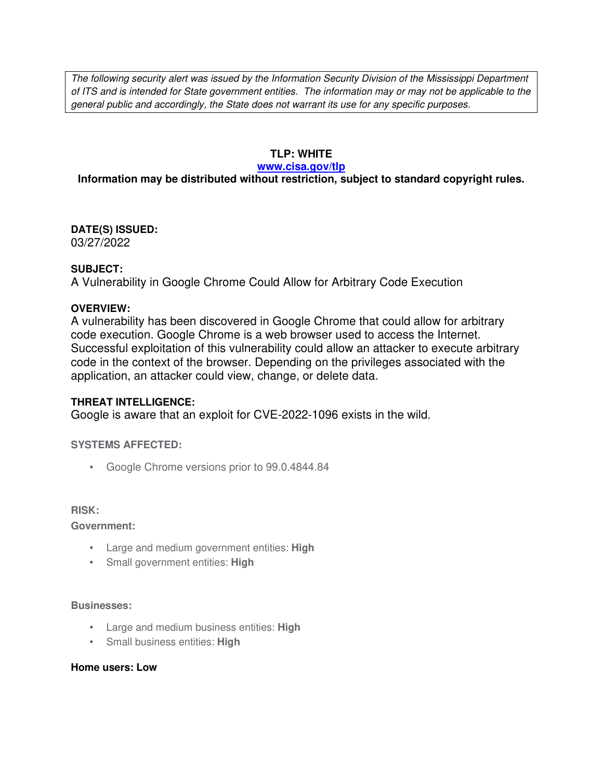The following security alert was issued by the Information Security Division of the Mississippi Department of ITS and is intended for State government entities. The information may or may not be applicable to the general public and accordingly, the State does not warrant its use for any specific purposes.

# **TLP: WHITE**

### **www.cisa.gov/tlp**

# **Information may be distributed without restriction, subject to standard copyright rules.**

**DATE(S) ISSUED:** 03/27/2022

## **SUBJECT:**

A Vulnerability in Google Chrome Could Allow for Arbitrary Code Execution

# **OVERVIEW:**

A vulnerability has been discovered in Google Chrome that could allow for arbitrary code execution. Google Chrome is a web browser used to access the Internet. Successful exploitation of this vulnerability could allow an attacker to execute arbitrary code in the context of the browser. Depending on the privileges associated with the application, an attacker could view, change, or delete data.

# **THREAT INTELLIGENCE:**

Google is aware that an exploit for CVE-2022-1096 exists in the wild.

### **SYSTEMS AFFECTED:**

• Google Chrome versions prior to 99.0.4844.84

#### **RISK:**

**Government:**

- Large and medium government entities: **High**
- Small government entities: **High**

### **Businesses:**

- Large and medium business entities: **High**
- Small business entities: **High**

#### **Home users: Low**